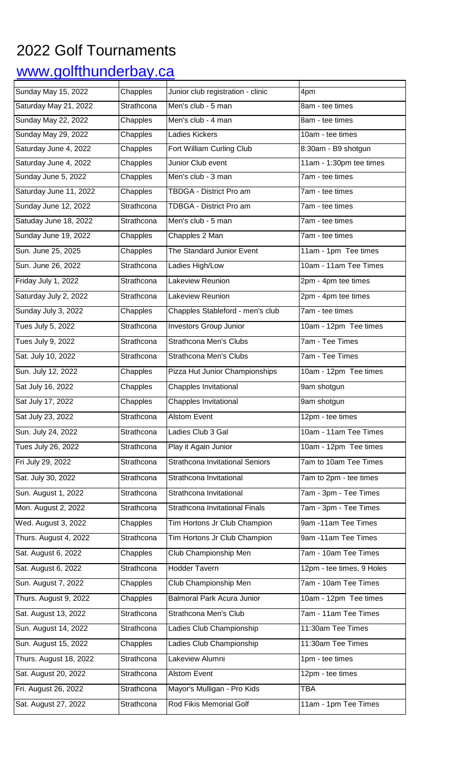## 2022 Golf Tournaments

## www.golfthunderbay.ca

| Sunday May 15, 2022        | Chapples   | Junior club registration - clinic      | 4pm                       |
|----------------------------|------------|----------------------------------------|---------------------------|
| Saturday May 21, 2022      | Strathcona | Men's club - 5 man                     | 8am - tee times           |
| <b>Sunday May 22, 2022</b> | Chapples   | Men's club - 4 man                     | 8am - tee times           |
| Sunday May 29, 2022        | Chapples   | <b>Ladies Kickers</b>                  | 10am - tee times          |
| Saturday June 4, 2022      | Chapples   | Fort William Curling Club              | 8:30am - B9 shotgun       |
| Saturday June 4, 2022      | Chapples   | Junior Club event                      | 11am - 1:30pm tee times   |
| Sunday June 5, 2022        | Chapples   | Men's club - 3 man                     | 7am - tee times           |
| Saturday June 11, 2022     | Chapples   | <b>TBDGA - District Pro am</b>         | 7am - tee times           |
| Sunday June 12, 2022       | Strathcona | TDBGA - District Pro am                | 7am - tee times           |
| Satuday June 18, 2022      | Strathcona | Men's club - 5 man                     | 7am - tee times           |
| Sunday June 19, 2022       | Chapples   | Chapples 2 Man                         | 7am - tee times           |
| Sun. June 25, 2025         | Chapples   | The Standard Junior Event              | 11am - 1pm Tee times      |
| Sun. June 26, 2022         | Strathcona | Ladies High/Low                        | 10am - 11am Tee Times     |
| Friday July 1, 2022        | Strathcona | Lakeview Reunion                       | 2pm - 4pm tee times       |
| Saturday July 2, 2022      | Strathcona | Lakeview Reunion                       | 2pm - 4pm tee times       |
| Sunday July 3, 2022        | Chapples   | Chapples Stableford - men's club       | 7am - tee times           |
| Tues July 5, 2022          | Strathcona | <b>Investors Group Junior</b>          | 10am - 12pm Tee times     |
| Tues July 9, 2022          | Strathcona | <b>Strathcona Men's Clubs</b>          | 7am - Tee Times           |
| Sat. July 10, 2022         | Strathcona | <b>Strathcona Men's Clubs</b>          | 7am - Tee Times           |
| Sun. July 12, 2022         | Chapples   | Pizza Hut Junior Championships         | 10am - 12pm Tee times     |
| Sat July 16, 2022          | Chapples   | Chapples Invitational                  | 9am shotgun               |
| Sat July 17, 2022          | Chapples   | Chapples Invitational                  | 9am shotgun               |
| Sat July 23, 2022          | Strathcona | <b>Alstom Event</b>                    | 12pm - tee times          |
| Sun. July 24, 2022         | Strathcona | Ladies Club 3 Gal                      | 10am - 11am Tee Times     |
| Tues July 26, 2022         | Strathcona | Play it Again Junior                   | 10am - 12pm Tee times     |
| Fri July 29, 2022          | Strathcona | <b>Strathcona Invitational Seniors</b> | 7am to 10am Tee Times     |
| Sat. July 30, 2022         | Strathcona | Strathcona Invitational                | 7am to 2pm - tee times    |
| Sun. August 1, 2022        | Strathcona | Strathcona Invitational                | 7am - 3pm - Tee Times     |
| Mon. August 2, 2022        | Strathcona | Strathcona Invitational Finals         | 7am - 3pm - Tee Times     |
| Wed. August 3, 2022        | Chapples   | Tim Hortons Jr Club Champion           | 9am -11am Tee Times       |
| Thurs. August 4, 2022      | Strathcona | Tim Hortons Jr Club Champion           | 9am -11am Tee Times       |
| Sat. August 6, 2022        | Chapples   | Club Championship Men                  | 7am - 10am Tee Times      |
| Sat. August 6, 2022        | Strathcona | <b>Hodder Tavern</b>                   | 12pm - tee times, 9 Holes |
| Sun. August 7, 2022        | Chapples   | Club Championship Men                  | 7am - 10am Tee Times      |
| Thurs. August 9, 2022      | Chapples   | <b>Balmoral Park Acura Junior</b>      | 10am - 12pm Tee times     |
| Sat. August 13, 2022       | Strathcona | Strathcona Men's Club                  | 7am - 11am Tee Times      |
| Sun. August 14, 2022       | Strathcona | Ladies Club Championship               | 11:30am Tee Times         |
| Sun. August 15, 2022       | Chapples   | Ladies Club Championship               | 11:30am Tee Times         |
| Thurs. August 18, 2022     | Strathcona | Lakeview Alumni                        | 1pm - tee times           |
| Sat. August 20, 2022       | Strathcona | <b>Alstom Event</b>                    | 12pm - tee times          |
| Fri. August 26, 2022       | Strathcona | Mayor's Mulligan - Pro Kids            | <b>TBA</b>                |
| Sat. August 27, 2022       | Strathcona | Rod Fikis Memorial Golf                | 11am - 1pm Tee Times      |
|                            |            |                                        |                           |